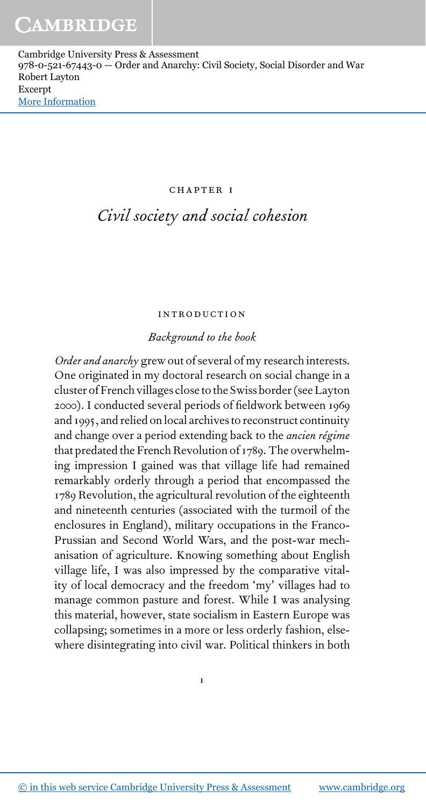## CHAPTER I

*Civil society and social cohesion*

#### introduction

*Background to the book*

*Order and anarchy* grew out of several of my research interests. One originated in my doctoral research on social change in a cluster of French villages close to the Swiss border (see Layton 2000). I conducted several periods of fieldwork between 1969 and 1995, and relied on local archives to reconstruct continuity and change over a period extending back to the *ancien regime ´* that predated the French Revolution of 1789. The overwhelming impression I gained was that village life had remained remarkably orderly through a period that encompassed the 1789 Revolution, the agricultural revolution of the eighteenth and nineteenth centuries (associated with the turmoil of the enclosures in England), military occupations in the Franco-Prussian and Second World Wars, and the post-war mechanisation of agriculture. Knowing something about English village life, I was also impressed by the comparative vitality of local democracy and the freedom 'my' villages had to manage common pasture and forest. While I was analysing this material, however, state socialism in Eastern Europe was collapsing; sometimes in a more or less orderly fashion, elsewhere disintegrating into civil war. Political thinkers in both

**1**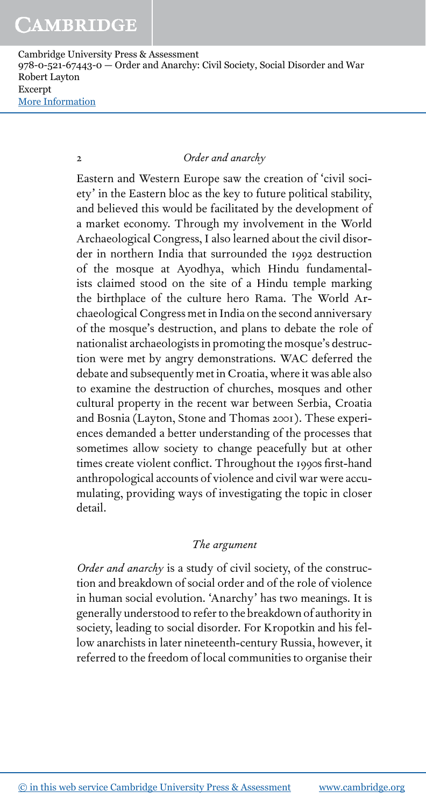# 2 *Order and anarchy*

Eastern and Western Europe saw the creation of 'civil society' in the Eastern bloc as the key to future political stability, and believed this would be facilitated by the development of a market economy. Through my involvement in the World Archaeological Congress, I also learned about the civil disorder in northern India that surrounded the 1992 destruction of the mosque at Ayodhya, which Hindu fundamentalists claimed stood on the site of a Hindu temple marking the birthplace of the culture hero Rama. The World Archaeological Congress met in India on the second anniversary of the mosque's destruction, and plans to debate the role of nationalist archaeologists in promoting the mosque's destruction were met by angry demonstrations. WAC deferred the debate and subsequently met in Croatia, where it was able also to examine the destruction of churches, mosques and other cultural property in the recent war between Serbia, Croatia and Bosnia (Layton, Stone and Thomas 2001). These experiences demanded a better understanding of the processes that sometimes allow society to change peacefully but at other times create violent conflict. Throughout the 1990s first-hand anthropological accounts of violence and civil war were accumulating, providing ways of investigating the topic in closer detail.

# *The argument*

*Order and anarchy* is a study of civil society, of the construction and breakdown of social order and of the role of violence in human social evolution. 'Anarchy' has two meanings. It is generally understood to refer to the breakdown of authority in society, leading to social disorder. For Kropotkin and his fellow anarchists in later nineteenth-century Russia, however, it referred to the freedom of local communities to organise their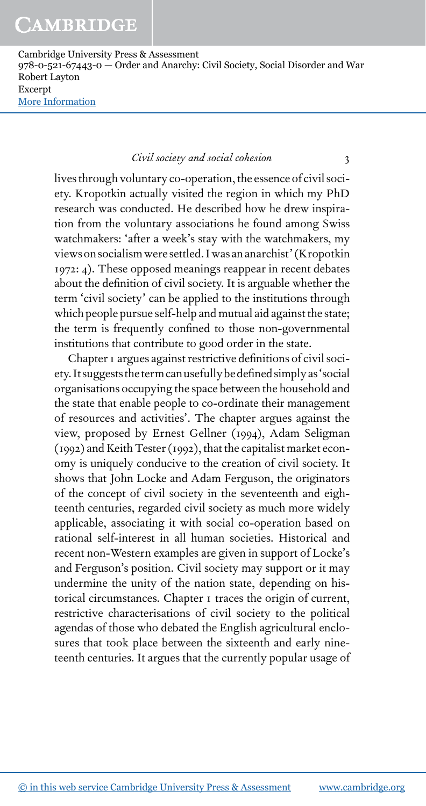## *Civil society and social cohesion* 3

lives through voluntary co-operation, the essence of civil society. Kropotkin actually visited the region in which my PhD research was conducted. He described how he drew inspiration from the voluntary associations he found among Swiss watchmakers: 'after a week's stay with the watchmakers, my views on socialism were settled. I was an anarchist' (Kropotkin 1972: 4). These opposed meanings reappear in recent debates about the definition of civil society. It is arguable whether the term 'civil society' can be applied to the institutions through which people pursue self-help and mutual aid against the state; the term is frequently confined to those non-governmental institutions that contribute to good order in the state.

Chapter 1 argues against restrictive definitions of civil society. It suggests the term can usefully be defined simply as 'social organisations occupying the space between the household and the state that enable people to co-ordinate their management of resources and activities'. The chapter argues against the view, proposed by Ernest Gellner (1994), Adam Seligman (1992) and Keith Tester (1992), that the capitalist market economy is uniquely conducive to the creation of civil society. It shows that John Locke and Adam Ferguson, the originators of the concept of civil society in the seventeenth and eighteenth centuries, regarded civil society as much more widely applicable, associating it with social co-operation based on rational self-interest in all human societies. Historical and recent non-Western examples are given in support of Locke's and Ferguson's position. Civil society may support or it may undermine the unity of the nation state, depending on historical circumstances. Chapter 1 traces the origin of current, restrictive characterisations of civil society to the political agendas of those who debated the English agricultural enclosures that took place between the sixteenth and early nineteenth centuries. It argues that the currently popular usage of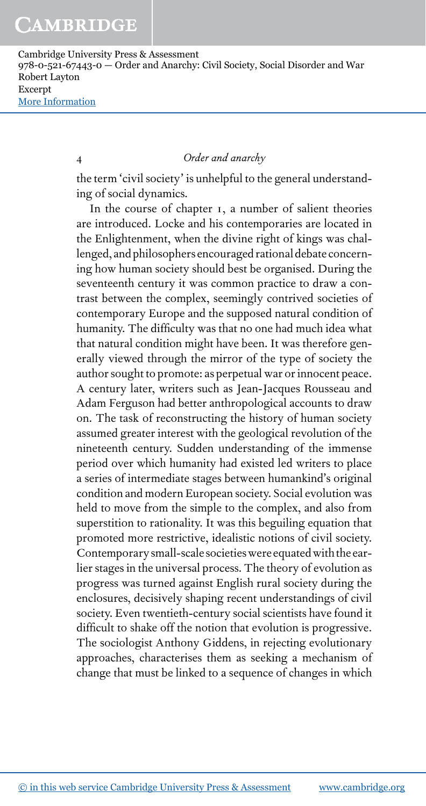#### 4 *Order and anarchy*

the term 'civil society' is unhelpful to the general understanding of social dynamics.

In the course of chapter 1, a number of salient theories are introduced. Locke and his contemporaries are located in the Enlightenment, when the divine right of kings was challenged, and philosophers encouraged rational debate concerning how human society should best be organised. During the seventeenth century it was common practice to draw a contrast between the complex, seemingly contrived societies of contemporary Europe and the supposed natural condition of humanity. The difficulty was that no one had much idea what that natural condition might have been. It was therefore generally viewed through the mirror of the type of society the author sought to promote: as perpetual war or innocent peace. A century later, writers such as Jean-Jacques Rousseau and Adam Ferguson had better anthropological accounts to draw on. The task of reconstructing the history of human society assumed greater interest with the geological revolution of the nineteenth century. Sudden understanding of the immense period over which humanity had existed led writers to place a series of intermediate stages between humankind's original condition and modern European society. Social evolution was held to move from the simple to the complex, and also from superstition to rationality. It was this beguiling equation that promoted more restrictive, idealistic notions of civil society. Contemporary small-scale societies were equated with the earlier stages in the universal process. The theory of evolution as progress was turned against English rural society during the enclosures, decisively shaping recent understandings of civil society. Even twentieth-century social scientists have found it difficult to shake off the notion that evolution is progressive. The sociologist Anthony Giddens, in rejecting evolutionary approaches, characterises them as seeking a mechanism of change that must be linked to a sequence of changes in which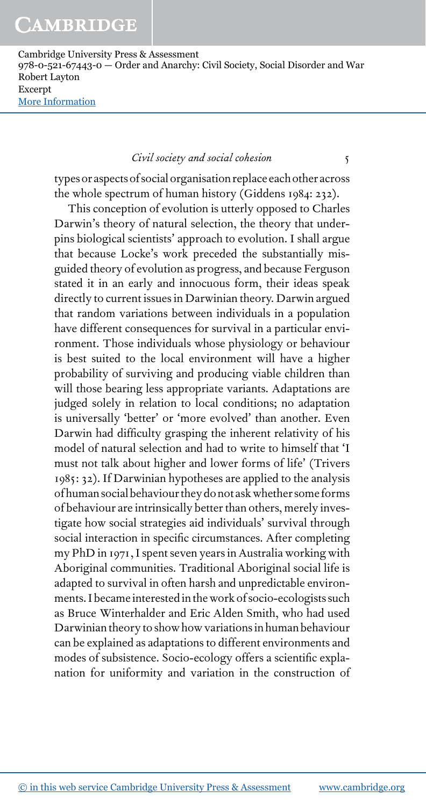### *Civil society and social cohesion* 5

types or aspects of social organisation replace each other across the whole spectrum of human history (Giddens 1984: 232).

This conception of evolution is utterly opposed to Charles Darwin's theory of natural selection, the theory that underpins biological scientists' approach to evolution. I shall argue that because Locke's work preceded the substantially misguided theory of evolution as progress, and because Ferguson stated it in an early and innocuous form, their ideas speak directly to current issues in Darwinian theory. Darwin argued that random variations between individuals in a population have different consequences for survival in a particular environment. Those individuals whose physiology or behaviour is best suited to the local environment will have a higher probability of surviving and producing viable children than will those bearing less appropriate variants. Adaptations are judged solely in relation to local conditions; no adaptation is universally 'better' or 'more evolved' than another. Even Darwin had difficulty grasping the inherent relativity of his model of natural selection and had to write to himself that 'I must not talk about higher and lower forms of life' (Trivers 1985: 32). If Darwinian hypotheses are applied to the analysis of human social behaviour they do not ask whether some forms of behaviour are intrinsically better than others, merely investigate how social strategies aid individuals' survival through social interaction in specific circumstances. After completing my PhD in 1971, I spent seven years in Australia working with Aboriginal communities. Traditional Aboriginal social life is adapted to survival in often harsh and unpredictable environments. I became interested in the work of socio-ecologists such as Bruce Winterhalder and Eric Alden Smith, who had used Darwinian theory to show how variations in human behaviour can be explained as adaptations to different environments and modes of subsistence. Socio-ecology offers a scientific explanation for uniformity and variation in the construction of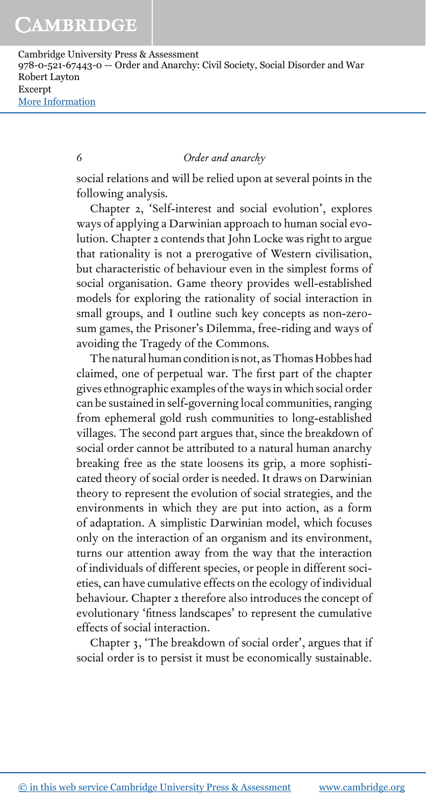#### 6 *Order and anarchy*

social relations and will be relied upon at several points in the following analysis.

Chapter 2, 'Self-interest and social evolution', explores ways of applying a Darwinian approach to human social evolution. Chapter 2 contends that John Locke was right to argue that rationality is not a prerogative of Western civilisation, but characteristic of behaviour even in the simplest forms of social organisation. Game theory provides well-established models for exploring the rationality of social interaction in small groups, and I outline such key concepts as non-zerosum games, the Prisoner's Dilemma, free-riding and ways of avoiding the Tragedy of the Commons.

The natural human condition is not, as Thomas Hobbes had claimed, one of perpetual war. The first part of the chapter gives ethnographic examples of the ways in which social order can be sustained in self-governing local communities, ranging from ephemeral gold rush communities to long-established villages. The second part argues that, since the breakdown of social order cannot be attributed to a natural human anarchy breaking free as the state loosens its grip, a more sophisticated theory of social order is needed. It draws on Darwinian theory to represent the evolution of social strategies, and the environments in which they are put into action, as a form of adaptation. A simplistic Darwinian model, which focuses only on the interaction of an organism and its environment, turns our attention away from the way that the interaction of individuals of different species, or people in different societies, can have cumulative effects on the ecology of individual behaviour. Chapter 2 therefore also introduces the concept of evolutionary 'fitness landscapes' to represent the cumulative effects of social interaction.

Chapter 3, 'The breakdown of social order', argues that if social order is to persist it must be economically sustainable.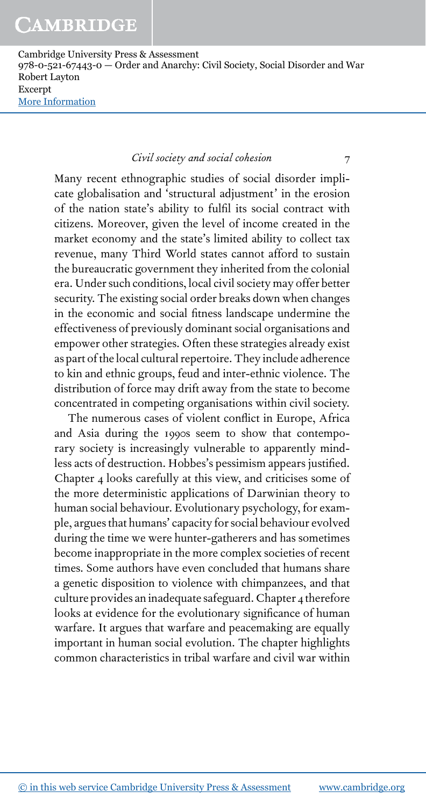## *Civil society and social cohesion* 7

Many recent ethnographic studies of social disorder implicate globalisation and 'structural adjustment' in the erosion of the nation state's ability to fulfil its social contract with citizens. Moreover, given the level of income created in the market economy and the state's limited ability to collect tax revenue, many Third World states cannot afford to sustain the bureaucratic government they inherited from the colonial era. Under such conditions, local civil society may offer better security. The existing social order breaks down when changes in the economic and social fitness landscape undermine the effectiveness of previously dominant social organisations and empower other strategies. Often these strategies already exist as part of the local cultural repertoire. They include adherence to kin and ethnic groups, feud and inter-ethnic violence. The distribution of force may drift away from the state to become concentrated in competing organisations within civil society.

The numerous cases of violent conflict in Europe, Africa and Asia during the 1990s seem to show that contemporary society is increasingly vulnerable to apparently mindless acts of destruction. Hobbes's pessimism appears justified. Chapter 4 looks carefully at this view, and criticises some of the more deterministic applications of Darwinian theory to human social behaviour. Evolutionary psychology, for example, argues that humans' capacity for social behaviour evolved during the time we were hunter-gatherers and has sometimes become inappropriate in the more complex societies of recent times. Some authors have even concluded that humans share a genetic disposition to violence with chimpanzees, and that culture provides an inadequate safeguard. Chapter 4 therefore looks at evidence for the evolutionary significance of human warfare. It argues that warfare and peacemaking are equally important in human social evolution. The chapter highlights common characteristics in tribal warfare and civil war within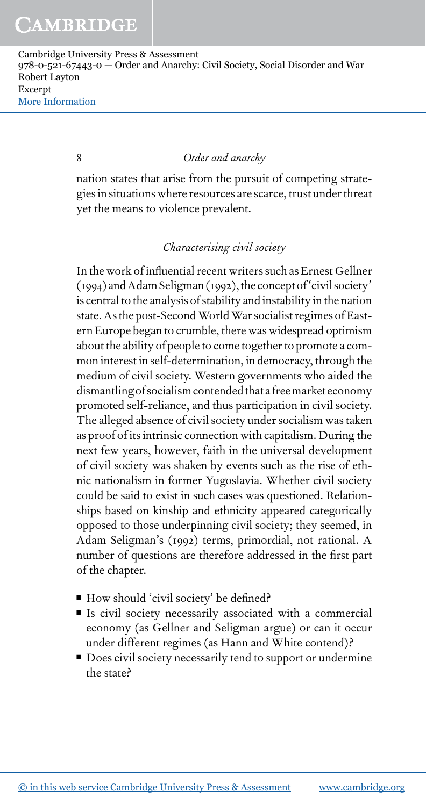# 8 *Order and anarchy*

nation states that arise from the pursuit of competing strategies in situations where resources are scarce, trust under threat yet the means to violence prevalent.

# *Characterising civil society*

In the work of influential recent writers such as Ernest Gellner (1994) and Adam Seligman (1992), the concept of 'civil society' is central to the analysis of stability and instability in the nation state. As the post-Second World War socialist regimes of Eastern Europe began to crumble, there was widespread optimism about the ability of people to come together to promote a common interest in self-determination, in democracy, through the medium of civil society. Western governments who aided the dismantling of socialism contended that a free market economy promoted self-reliance, and thus participation in civil society. The alleged absence of civil society under socialism was taken as proof of its intrinsic connection with capitalism. During the next few years, however, faith in the universal development of civil society was shaken by events such as the rise of ethnic nationalism in former Yugoslavia. Whether civil society could be said to exist in such cases was questioned. Relationships based on kinship and ethnicity appeared categorically opposed to those underpinning civil society; they seemed, in Adam Seligman's (1992) terms, primordial, not rational. A number of questions are therefore addressed in the first part of the chapter.

- How should 'civil society' be defined?
- Is civil society necessarily associated with a commercial economy (as Gellner and Seligman argue) or can it occur under different regimes (as Hann and White contend)?
- Does civil society necessarily tend to support or undermine the state?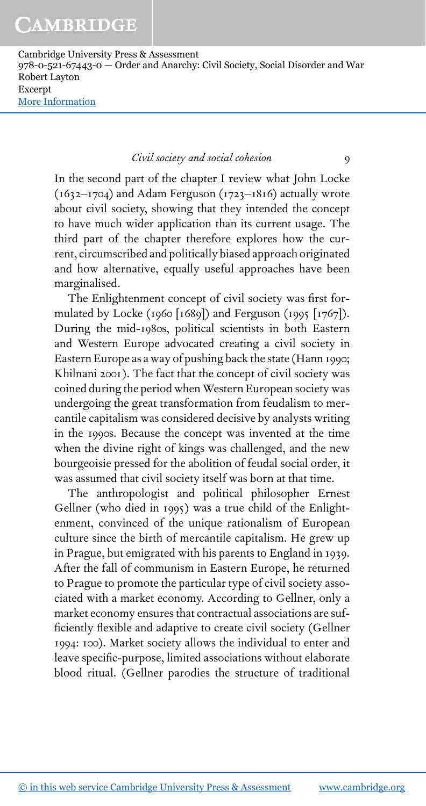## *Civil society and social cohesion* 9

In the second part of the chapter I review what John Locke  $(1632-1704)$  and Adam Ferguson  $(1723-1816)$  actually wrote about civil society, showing that they intended the concept to have much wider application than its current usage. The third part of the chapter therefore explores how the current, circumscribed and politically biased approach originated and how alternative, equally useful approaches have been marginalised.

The Enlightenment concept of civil society was first formulated by Locke (1960 [1689]) and Ferguson (1995 [1767]). During the mid-1980s, political scientists in both Eastern and Western Europe advocated creating a civil society in Eastern Europe as a way of pushing back the state (Hann 1990; Khilnani 2001). The fact that the concept of civil society was coined during the period when Western European society was undergoing the great transformation from feudalism to mercantile capitalism was considered decisive by analysts writing in the 1990s. Because the concept was invented at the time when the divine right of kings was challenged, and the new bourgeoisie pressed for the abolition of feudal social order, it was assumed that civil society itself was born at that time.

The anthropologist and political philosopher Ernest Gellner (who died in 1995) was a true child of the Enlightenment, convinced of the unique rationalism of European culture since the birth of mercantile capitalism. He grew up in Prague, but emigrated with his parents to England in 1939. After the fall of communism in Eastern Europe, he returned to Prague to promote the particular type of civil society associated with a market economy. According to Gellner, only a market economy ensures that contractual associations are sufficiently flexible and adaptive to create civil society (Gellner 1994: 100). Market society allows the individual to enter and leave specific-purpose, limited associations without elaborate blood ritual. (Gellner parodies the structure of traditional